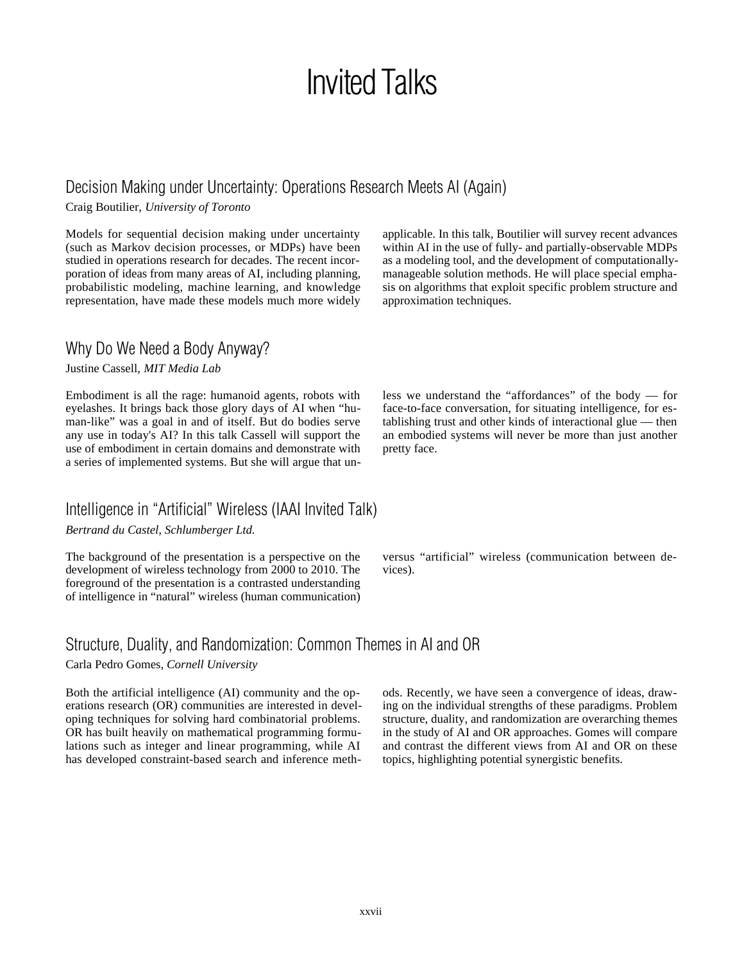# Invited Talks

### Decision Making under Uncertainty: Operations Research Meets AI (Again)

Craig Boutilier, *University of Toronto*

Models for sequential decision making under uncertainty (such as Markov decision processes, or MDPs) have been studied in operations research for decades. The recent incorporation of ideas from many areas of AI, including planning, probabilistic modeling, machine learning, and knowledge representation, have made these models much more widely

#### Why Do We Need a Body Anyway?

Justine Cassell, *MIT Media Lab*

Embodiment is all the rage: humanoid agents, robots with eyelashes. It brings back those glory days of AI when "human-like" was a goal in and of itself. But do bodies serve any use in today's AI? In this talk Cassell will support the use of embodiment in certain domains and demonstrate with a series of implemented systems. But she will argue that un-

### Intelligence in "Artificial" Wireless (IAAI Invited Talk)

*Bertrand du Castel, Schlumberger Ltd.*

The background of the presentation is a perspective on the development of wireless technology from 2000 to 2010. The foreground of the presentation is a contrasted understanding of intelligence in "natural" wireless (human communication) applicable. In this talk, Boutilier will survey recent advances within AI in the use of fully- and partially-observable MDPs as a modeling tool, and the development of computationallymanageable solution methods. He will place special emphasis on algorithms that exploit specific problem structure and approximation techniques.

less we understand the "affordances" of the body — for face-to-face conversation, for situating intelligence, for establishing trust and other kinds of interactional glue — then an embodied systems will never be more than just another pretty face.

versus "artificial" wireless (communication between devices).

### Structure, Duality, and Randomization: Common Themes in AI and OR

Carla Pedro Gomes, *Cornell University*

Both the artificial intelligence (AI) community and the operations research (OR) communities are interested in developing techniques for solving hard combinatorial problems. OR has built heavily on mathematical programming formulations such as integer and linear programming, while AI has developed constraint-based search and inference methods. Recently, we have seen a convergence of ideas, drawing on the individual strengths of these paradigms. Problem structure, duality, and randomization are overarching themes in the study of AI and OR approaches. Gomes will compare and contrast the different views from AI and OR on these topics, highlighting potential synergistic benefits.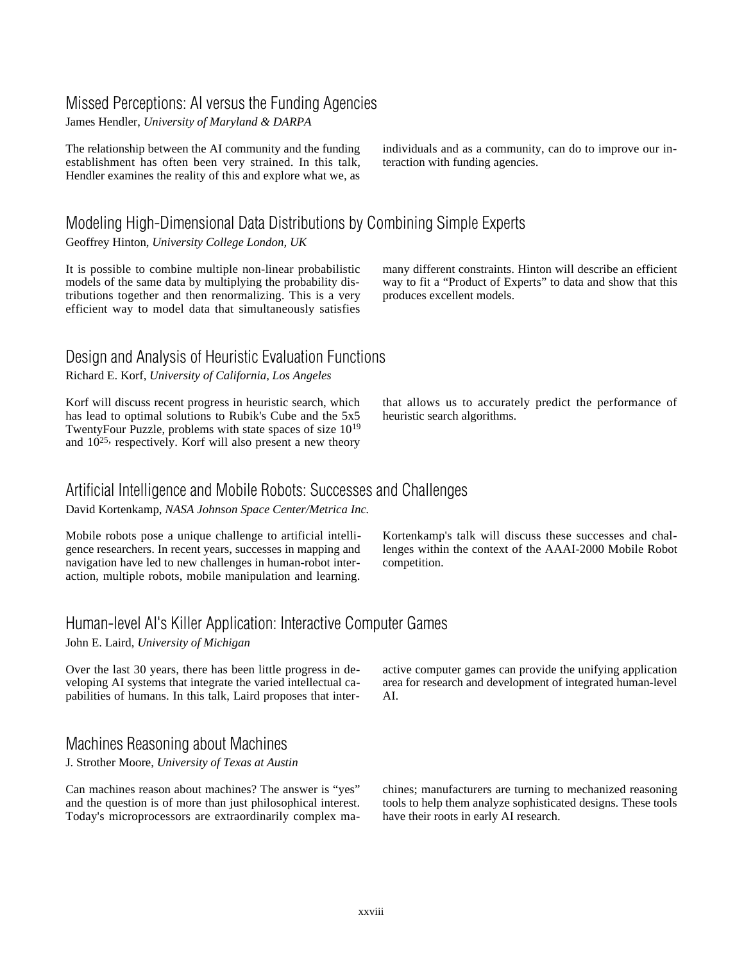## Missed Perceptions: AI versus the Funding Agencies

James Hendler, *University of Maryland & DARPA*

The relationship between the AI community and the funding establishment has often been very strained. In this talk, Hendler examines the reality of this and explore what we, as

Modeling High-Dimensional Data Distributions by Combining Simple Experts

Geoffrey Hinton, *University College London, UK*

It is possible to combine multiple non-linear probabilistic models of the same data by multiplying the probability distributions together and then renormalizing. This is a very efficient way to model data that simultaneously satisfies individuals and as a community, can do to improve our interaction with funding agencies.

many different constraints. Hinton will describe an efficient way to fit a "Product of Experts" to data and show that this produces excellent models.

#### Design and Analysis of Heuristic Evaluation Functions Richard E. Korf, *University of California, Los Angeles*

Korf will discuss recent progress in heuristic search, which has lead to optimal solutions to Rubik's Cube and the 5x5 TwentyFour Puzzle, problems with state spaces of size 1019 and  $10^{25}$ , respectively. Korf will also present a new theory

that allows us to accurately predict the performance of heuristic search algorithms.

#### Artificial Intelligence and Mobile Robots: Successes and Challenges

David Kortenkamp, *NASA Johnson Space Center/Metrica Inc.*

Mobile robots pose a unique challenge to artificial intelligence researchers. In recent years, successes in mapping and navigation have led to new challenges in human-robot interaction, multiple robots, mobile manipulation and learning. Kortenkamp's talk will discuss these successes and challenges within the context of the AAAI-2000 Mobile Robot competition.

## Human-level AI's Killer Application: Interactive Computer Games

John E. Laird, *University of Michigan*

Over the last 30 years, there has been little progress in developing AI systems that integrate the varied intellectual capabilities of humans. In this talk, Laird proposes that inter-

### Machines Reasoning about Machines

J. Strother Moore, *University of Texas at Austin*

Can machines reason about machines? The answer is "yes" and the question is of more than just philosophical interest. Today's microprocessors are extraordinarily complex maactive computer games can provide the unifying application area for research and development of integrated human-level AI.

chines; manufacturers are turning to mechanized reasoning tools to help them analyze sophisticated designs. These tools have their roots in early AI research.